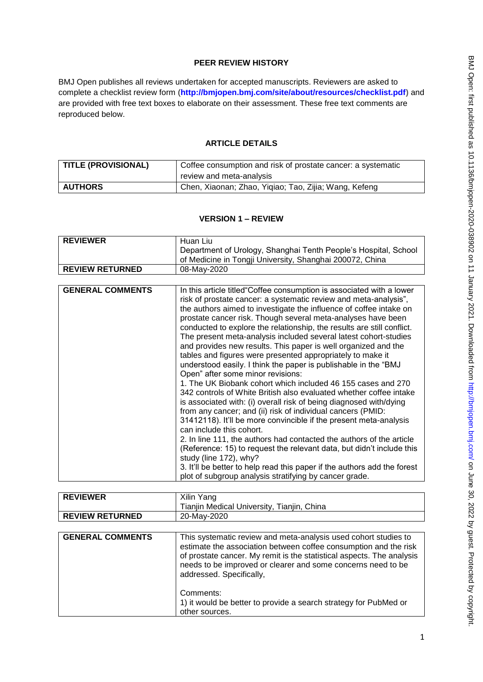# **PEER REVIEW HISTORY**

BMJ Open publishes all reviews undertaken for accepted manuscripts. Reviewers are asked to complete a checklist review form (**[http://bmjopen.bmj.com/site/about/resources/checklist.pdf\)](http://bmjopen.bmj.com/site/about/resources/checklist.pdf)** and are provided with free text boxes to elaborate on their assessment. These free text comments are reproduced below.

## **ARTICLE DETAILS**

| <b>TITLE (PROVISIONAL)</b> | Coffee consumption and risk of prostate cancer: a systematic |
|----------------------------|--------------------------------------------------------------|
|                            | review and meta-analysis                                     |
| <b>AUTHORS</b>             | Chen, Xiaonan; Zhao, Yiqiao; Tao, Zijia; Wang, Kefeng        |

### **VERSION 1 – REVIEW**

| <b>REVIEWER</b>        | -Huan Liu                                                       |
|------------------------|-----------------------------------------------------------------|
|                        | Department of Urology, Shanghai Tenth People's Hospital, School |
|                        | of Medicine in Tongji University, Shanghai 200072, China        |
| <b>REVIEW RETURNED</b> | 08-May-2020                                                     |

| <b>GENERAL COMMENTS</b><br>In this article titled Coffee consumption is associated with a lower<br>risk of prostate cancer: a systematic review and meta-analysis",                                                                                                                                                                                                                                                                                                                                                                                                                                                                                                                                                                                                                                                                                                                                                                                                                                                                                                                                                                                                                                                   |
|-----------------------------------------------------------------------------------------------------------------------------------------------------------------------------------------------------------------------------------------------------------------------------------------------------------------------------------------------------------------------------------------------------------------------------------------------------------------------------------------------------------------------------------------------------------------------------------------------------------------------------------------------------------------------------------------------------------------------------------------------------------------------------------------------------------------------------------------------------------------------------------------------------------------------------------------------------------------------------------------------------------------------------------------------------------------------------------------------------------------------------------------------------------------------------------------------------------------------|
| the authors aimed to investigate the influence of coffee intake on<br>prostate cancer risk. Though several meta-analyses have been<br>conducted to explore the relationship, the results are still conflict.<br>The present meta-analysis included several latest cohort-studies<br>and provides new results. This paper is well organized and the<br>tables and figures were presented appropriately to make it<br>understood easily. I think the paper is publishable in the "BMJ<br>Open" after some minor revisions:<br>1. The UK Biobank cohort which included 46 155 cases and 270<br>342 controls of White British also evaluated whether coffee intake<br>is associated with: (i) overall risk of being diagnosed with/dying<br>from any cancer; and (ii) risk of individual cancers (PMID:<br>31412118). It'll be more convincible if the present meta-analysis<br>can include this cohort.<br>2. In line 111, the authors had contacted the authors of the article<br>(Reference: 15) to request the relevant data, but didn't include this<br>study (line 172), why?<br>3. It'll be better to help read this paper if the authors add the forest<br>plot of subgroup analysis stratifying by cancer grade. |
|                                                                                                                                                                                                                                                                                                                                                                                                                                                                                                                                                                                                                                                                                                                                                                                                                                                                                                                                                                                                                                                                                                                                                                                                                       |

| <b>REVIEWER</b>         | Xilin Yang                                                                                                                                                                                                                                                                                               |
|-------------------------|----------------------------------------------------------------------------------------------------------------------------------------------------------------------------------------------------------------------------------------------------------------------------------------------------------|
|                         | Tianjin Medical University, Tianjin, China                                                                                                                                                                                                                                                               |
| <b>REVIEW RETURNED</b>  | 20-May-2020                                                                                                                                                                                                                                                                                              |
|                         |                                                                                                                                                                                                                                                                                                          |
| <b>GENERAL COMMENTS</b> | This systematic review and meta-analysis used cohort studies to<br>estimate the association between coffee consumption and the risk<br>of prostate cancer. My remit is the statistical aspects. The analysis<br>needs to be improved or clearer and some concerns need to be<br>addressed. Specifically, |
|                         | Comments:<br>1) it would be better to provide a search strategy for PubMed or<br>other sources.                                                                                                                                                                                                          |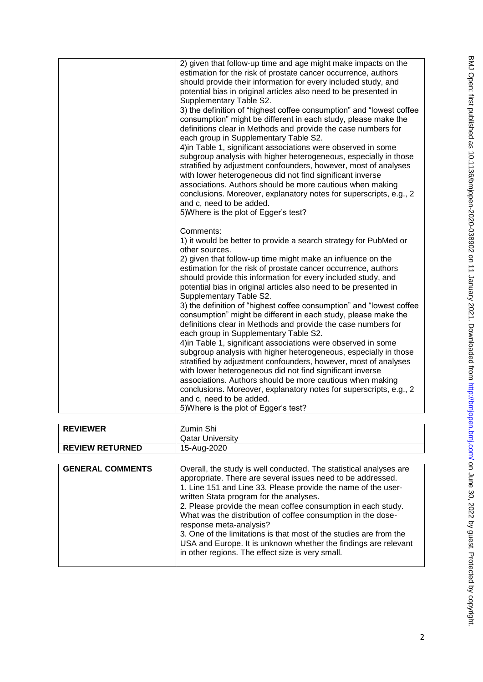| 2) given that follow-up time and age might make impacts on the<br>estimation for the risk of prostate cancer occurrence, authors<br>should provide their information for every included study, and<br>potential bias in original articles also need to be presented in<br>Supplementary Table S2.<br>3) the definition of "highest coffee consumption" and "lowest coffee<br>consumption" might be different in each study, please make the<br>definitions clear in Methods and provide the case numbers for<br>each group in Supplementary Table S2.<br>4) in Table 1, significant associations were observed in some<br>subgroup analysis with higher heterogeneous, especially in those<br>stratified by adjustment confounders, however, most of analyses<br>with lower heterogeneous did not find significant inverse<br>associations. Authors should be more cautious when making<br>conclusions. Moreover, explanatory notes for superscripts, e.g., 2<br>and c, need to be added.<br>5) Where is the plot of Egger's test?                                                                                                |
|-----------------------------------------------------------------------------------------------------------------------------------------------------------------------------------------------------------------------------------------------------------------------------------------------------------------------------------------------------------------------------------------------------------------------------------------------------------------------------------------------------------------------------------------------------------------------------------------------------------------------------------------------------------------------------------------------------------------------------------------------------------------------------------------------------------------------------------------------------------------------------------------------------------------------------------------------------------------------------------------------------------------------------------------------------------------------------------------------------------------------------------|
| Comments:<br>1) it would be better to provide a search strategy for PubMed or<br>other sources.<br>2) given that follow-up time might make an influence on the<br>estimation for the risk of prostate cancer occurrence, authors<br>should provide this information for every included study, and<br>potential bias in original articles also need to be presented in<br>Supplementary Table S2.<br>3) the definition of "highest coffee consumption" and "lowest coffee<br>consumption" might be different in each study, please make the<br>definitions clear in Methods and provide the case numbers for<br>each group in Supplementary Table S2.<br>4) in Table 1, significant associations were observed in some<br>subgroup analysis with higher heterogeneous, especially in those<br>stratified by adjustment confounders, however, most of analyses<br>with lower heterogeneous did not find significant inverse<br>associations. Authors should be more cautious when making<br>conclusions. Moreover, explanatory notes for superscripts, e.g., 2<br>and c, need to be added.<br>5) Where is the plot of Egger's test? |

| <b>REVIEWER</b>        | Zumin Shi               |
|------------------------|-------------------------|
|                        | <b>Qatar University</b> |
| <b>REVIEW RETURNED</b> | 15-Aug-2020             |
|                        |                         |

| <b>GENERAL COMMENTS</b> | Overall, the study is well conducted. The statistical analyses are<br>appropriate. There are several issues need to be addressed.<br>1. Line 151 and Line 33. Please provide the name of the user-<br>written Stata program for the analyses.<br>2. Please provide the mean coffee consumption in each study. |
|-------------------------|---------------------------------------------------------------------------------------------------------------------------------------------------------------------------------------------------------------------------------------------------------------------------------------------------------------|
|                         | What was the distribution of coffee consumption in the dose-<br>response meta-analysis?<br>3. One of the limitations is that most of the studies are from the<br>USA and Europe. It is unknown whether the findings are relevant<br>in other regions. The effect size is very small.                          |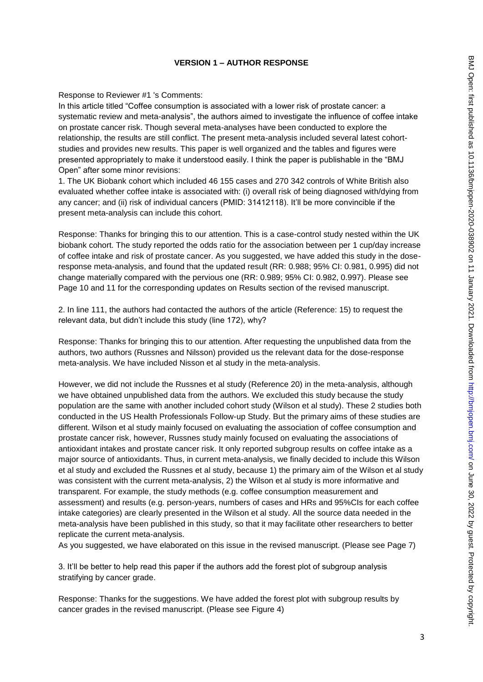## **VERSION 1 – AUTHOR RESPONSE**

#### Response to Reviewer #1 's Comments:

In this article titled "Coffee consumption is associated with a lower risk of prostate cancer: a systematic review and meta-analysis", the authors aimed to investigate the influence of coffee intake on prostate cancer risk. Though several meta-analyses have been conducted to explore the relationship, the results are still conflict. The present meta-analysis included several latest cohortstudies and provides new results. This paper is well organized and the tables and figures were presented appropriately to make it understood easily. I think the paper is publishable in the "BMJ Open" after some minor revisions:

1. The UK Biobank cohort which included 46 155 cases and 270 342 controls of White British also evaluated whether coffee intake is associated with: (i) overall risk of being diagnosed with/dying from any cancer; and (ii) risk of individual cancers (PMID: 31412118). It'll be more convincible if the present meta-analysis can include this cohort.

Response: Thanks for bringing this to our attention. This is a case-control study nested within the UK biobank cohort. The study reported the odds ratio for the association between per 1 cup/day increase of coffee intake and risk of prostate cancer. As you suggested, we have added this study in the doseresponse meta-analysis, and found that the updated result (RR: 0.988; 95% CI: 0.981, 0.995) did not change materially compared with the pervious one (RR: 0.989; 95% CI: 0.982, 0.997). Please see Page 10 and 11 for the corresponding updates on Results section of the revised manuscript.

2. In line 111, the authors had contacted the authors of the article (Reference: 15) to request the relevant data, but didn't include this study (line 172), why?

Response: Thanks for bringing this to our attention. After requesting the unpublished data from the authors, two authors (Russnes and Nilsson) provided us the relevant data for the dose-response meta-analysis. We have included Nisson et al study in the meta-analysis.

However, we did not include the Russnes et al study (Reference 20) in the meta-analysis, although we have obtained unpublished data from the authors. We excluded this study because the study population are the same with another included cohort study (Wilson et al study). These 2 studies both conducted in the US Health Professionals Follow-up Study. But the primary aims of these studies are different. Wilson et al study mainly focused on evaluating the association of coffee consumption and prostate cancer risk, however, Russnes study mainly focused on evaluating the associations of antioxidant intakes and prostate cancer risk. It only reported subgroup results on coffee intake as a major source of antioxidants. Thus, in current meta-analysis, we finally decided to include this Wilson et al study and excluded the Russnes et al study, because 1) the primary aim of the Wilson et al study was consistent with the current meta-analysis, 2) the Wilson et al study is more informative and transparent. For example, the study methods (e.g. coffee consumption measurement and assessment) and results (e.g. person-years, numbers of cases and HRs and 95%CIs for each coffee intake categories) are clearly presented in the Wilson et al study. All the source data needed in the meta-analysis have been published in this study, so that it may facilitate other researchers to better replicate the current meta-analysis.

As you suggested, we have elaborated on this issue in the revised manuscript. (Please see Page 7)

3. It'll be better to help read this paper if the authors add the forest plot of subgroup analysis stratifying by cancer grade.

Response: Thanks for the suggestions. We have added the forest plot with subgroup results by cancer grades in the revised manuscript. (Please see Figure 4)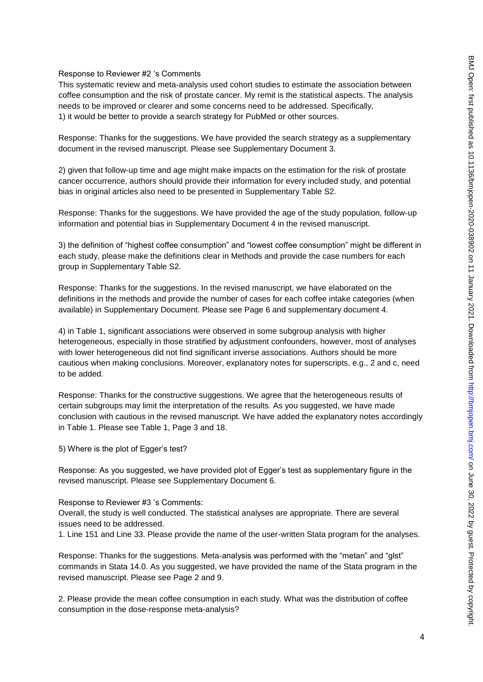#### Response to Reviewer #2 's Comments

This systematic review and meta-analysis used cohort studies to estimate the association between coffee consumption and the risk of prostate cancer. My remit is the statistical aspects. The analysis needs to be improved or clearer and some concerns need to be addressed. Specifically, 1) it would be better to provide a search strategy for PubMed or other sources.

Response: Thanks for the suggestions. We have provided the search strategy as a supplementary document in the revised manuscript. Please see Supplementary Document 3.

2) given that follow-up time and age might make impacts on the estimation for the risk of prostate cancer occurrence, authors should provide their information for every included study, and potential bias in original articles also need to be presented in Supplementary Table S2.

Response: Thanks for the suggestions. We have provided the age of the study population, follow-up information and potential bias in Supplementary Document 4 in the revised manuscript.

3) the definition of "highest coffee consumption" and "lowest coffee consumption" might be different in each study, please make the definitions clear in Methods and provide the case numbers for each group in Supplementary Table S2.

Response: Thanks for the suggestions. In the revised manuscript, we have elaborated on the definitions in the methods and provide the number of cases for each coffee intake categories (when available) in Supplementary Document. Please see Page 6 and supplementary document 4.

4) in Table 1, significant associations were observed in some subgroup analysis with higher heterogeneous, especially in those stratified by adjustment confounders, however, most of analyses with lower heterogeneous did not find significant inverse associations. Authors should be more cautious when making conclusions. Moreover, explanatory notes for superscripts, e.g., 2 and c, need to be added.

Response: Thanks for the constructive suggestions. We agree that the heterogeneous results of certain subgroups may limit the interpretation of the results. As you suggested, we have made conclusion with cautious in the revised manuscript. We have added the explanatory notes accordingly in Table 1. Please see Table 1, Page 3 and 18.

5) Where is the plot of Egger's test?

Response: As you suggested, we have provided plot of Egger's test as supplementary figure in the revised manuscript. Please see Supplementary Document 6.

#### Response to Reviewer #3 's Comments:

Overall, the study is well conducted. The statistical analyses are appropriate. There are several issues need to be addressed.

1. Line 151 and Line 33. Please provide the name of the user-written Stata program for the analyses.

Response: Thanks for the suggestions. Meta-analysis was performed with the "metan" and "glst" commands in Stata 14.0. As you suggested, we have provided the name of the Stata program in the revised manuscript. Please see Page 2 and 9.

2. Please provide the mean coffee consumption in each study. What was the distribution of coffee consumption in the dose-response meta-analysis?